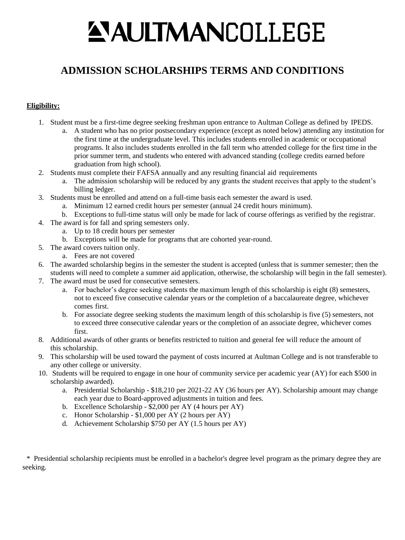# **ANITMANCOLLEGE**

# **ADMISSION SCHOLARSHIPS TERMS AND CONDITIONS**

## **Eligibility:**

- 1. Student must be a first-time degree seeking freshman upon entrance to Aultman College as defined by IPEDS.
	- a. A student who has no prior postsecondary experience (except as noted below) attending any institution for the first time at the undergraduate level. This includes students enrolled in academic or occupational programs. It also includes students enrolled in the fall term who attended college for the first time in the prior summer term, and students who entered with advanced standing (college credits earned before graduation from high school).
- 2. Students must complete their FAFSA annually and any resulting financial aid requirements
	- a. The admission scholarship will be reduced by any grants the student receives that apply to the student's billing ledger.
- 3. Students must be enrolled and attend on a full-time basis each semester the award is used.
	- a. Minimum 12 earned credit hours per semester (annual 24 credit hours minimum).
	- b. Exceptions to full-time status will only be made for lack of course offerings as verified by the registrar.
- 4. The award is for fall and spring semesters only.
	- a. Up to 18 credit hours per semester
	- b. Exceptions will be made for programs that are cohorted year-round.
- 5. The award covers tuition only.
	- a. Fees are not covered
- 6. The awarded scholarship begins in the semester the student is accepted (unless that is summer semester; then the
- students will need to complete a summer aid application, otherwise, the scholarship will begin in the fall semester). 7. The award must be used for consecutive semesters.
	- a. For bachelor's degree seeking students the maximum length of this scholarship is eight (8) semesters, not to exceed five consecutive calendar years or the completion of a baccalaureate degree, whichever comes first.
	- b. For associate degree seeking students the maximum length of this scholarship is five (5) semesters, not to exceed three consecutive calendar years or the completion of an associate degree, whichever comes first.
- 8. Additional awards of other grants or benefits restricted to tuition and general fee will reduce the amount of this scholarship.
- 9. This scholarship will be used toward the payment of costs incurred at Aultman College and is not transferable to any other college or university.
- 10. Students will be required to engage in one hour of community service per academic year (AY) for each \$500 in scholarship awarded).
	- a. Presidential Scholarship \$18,210 per 2021-22 AY (36 hours per AY). Scholarship amount may change each year due to Board-approved adjustments in tuition and fees.
	- b. Excellence Scholarship \$2,000 per AY (4 hours per AY)
	- c. Honor Scholarship \$1,000 per AY (2 hours per AY)
	- d. Achievement Scholarship \$750 per AY (1.5 hours per AY)

\* Presidential scholarship recipients must be enrolled in a bachelor's degree level program as the primary degree they are seeking.